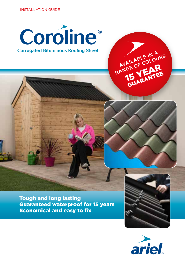





RANGE OF COLOURS

**15 YEAR** GUARANTEE

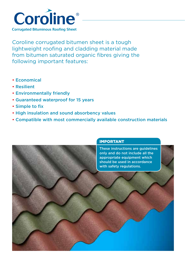

Coroline corrugated bitumen sheet is a tough lightweight roofing and cladding material made from bitumen saturated organic fibres giving the following important features:

- Economical
- Resilient
- Environmentally friendly
- Guaranteed waterproof for 15 years
- Simple to fix
- High insulation and sound absorbency values
- Compatible with most commercially available construction materials

# IMPORTANT

These instructions are guidelines only and do not include all the appropriate equipment which should be used in accordance with safety regulations.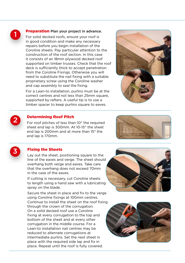

## **Preparation** Plan your project in advance.

For solid decked roofs, ensure your roof is in good condition and make any necessary repairs before you begin installation of the Coroline sheets. Pay particular attention to the construction of the roof section. In this case it consists of an 18mm plywood decked roof supported on timber trusses. Check that the roof deck is sufficiently thick to accept penetration from the Coroline Fixings. Otherwise you will need to substitute the nail fixing with a suitable proprietary screw using the Coroline washer and cap assembly to seal the fixing.

For a Lean-to installation, purlins must be at the correct centres and not less than 25mm square, supported by rafters. A useful tip is to use a timber spacer to keep purlins square to eaves.





#### Determining Roof Pitch

For roof pitches of less than 10° the required sheet end lap is 300mm. At 10-15° the sheet end lap is 200mm and at more than 15° the end lap is 170mm.





## Fixing the Sheets

Lay out the sheet, positioning square to the line of the eaves and verge. The sheet should overhang both verge and eaves. Take care that the overhang does not exceed 70mm in the case of the eaves.

If cutting is necessary, cut Coroline sheets to length using a hand saw with a lubricating spray on the blade.

Secure the sheet in place and fix to the verge using Coroline fixings at 100mm centres. Continue to install the sheet on the roof fixing through the crown of the corrugation. On a solid decked roof use a Coroline fixing at every corrugation to the top and bottom of the sheet and at every other corrugation in the middle course. For a Lean-to installation nail centres may be reduced to alternate corrugations at intermediate purlins. Set the next sheet in place with the required side lap and fix in place. Repeat until the roof is fully covered.



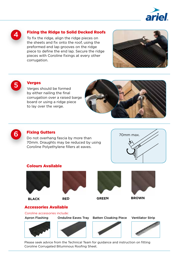



# Fixing the Ridge to Solid Decked Roofs

To fix the ridge, align the ridge pieces on the sheets and fix onto the roof, using the preformed end lap grooves on the ridge piece to define the end lap. Secure the ridge pieces with Coroline fixings at every other corrugation.





## **Verges**

Verges should be formed by either nailing the final corrugation over a raised barge board or using a ridge piece to lay over the verge.





## Fixing Gutters

Do not overhang fascia by more than 70mm. Draughts may be reduced by using Coroline Polyethylene fillers at eaves.



## Colours Available





**BLACK RED GREEN BROWN**





# Accessories Available

Coroline accessories include:

Apron Flashing Onduline Eaves Tray Batten Cloaking Piece Ventilator Strip









Please seek advice from the Technical Team for guidance and instruction on fitting Coroline Corrugated Bituminous Roofing Sheet.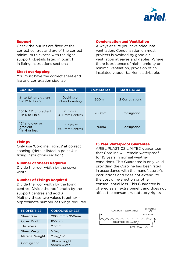

#### Support

Check the purlins are fixed at the correct centres and are of the correct minimum thickness with the right support. (Details listed in point 1 in fixing instructions section.)

#### Sheet overlapping

You must have the correct sheet end lap and corrugation side lap.

#### Condensation and Ventilation

Always ensure you have adequate ventilation. Condensation on most projects is avoided by good air ventilation at eaves and gables. Where there is existence of high humidity or minimal ventilation, provision of an insulated vapour barrier is advisable.

| <b>Roof Pitch</b>                                                 | <b>Support</b>               | <b>Sheet End Lap</b> | <b>Sheet Side Lap</b> |
|-------------------------------------------------------------------|------------------------------|----------------------|-----------------------|
| $5^{\circ}$ to 10 $^{\circ}$ or gradient<br>$1$ in 12 to $1$ in 6 | Decking or<br>close boarding | 300 <sub>mm</sub>    | 2 Corrugations        |
| 10° to 15° or gradient<br>$1$ in 6 to $1$ in $4$                  | Purlins at<br>450mm Centres  | 200 <sub>mm</sub>    | 1 Corrugation         |
| $15^\circ$ and over or<br>gradient<br>1 in 4 or less              | Purlins at<br>600mm Centres  | 170 <sub>mm</sub>    | 1 Corrugation         |

## **Fixings**

Only use 'Coroline Fixings' at correct spacing. (details listed in point 4 in fixing instructions section)

## Number of Sheets Required

Divide the roof width by the cover width.

## Number of Fixings Required

Divide the roof width by the fixing centres. Divide the roof length by the support centres and add 3 Multiply these two values together = approximate number of fixings required.

| <b>PROPERTIES</b> | <b>COROLINE SHEET</b>     |
|-------------------|---------------------------|
| Sheet Size        | 2000mm x 950mm            |
| Cover Width       | 855mm                     |
| <b>Thickness</b>  | 26mm                      |
| Sheet Weight      | 5.6kg                     |
| Material Weight   | $2.9$ kg/m <sup>2</sup>   |
| Corrugation       | 38mm height<br>95mm width |

#### 15 Year Waterproof Guarantee

ARIEL PLASTICS LIMITED guarantees that Coroline will remain waterproof for 15 years in normal weather conditions. This Guarantee is only valid providing the Coroline has been fixed in accordance with the manufacturer's instructions and does not extend to the cost of re-erection or other consequential loss. This Guarantee is offered as an extra benefit and does not affect the consumers statutory rights.